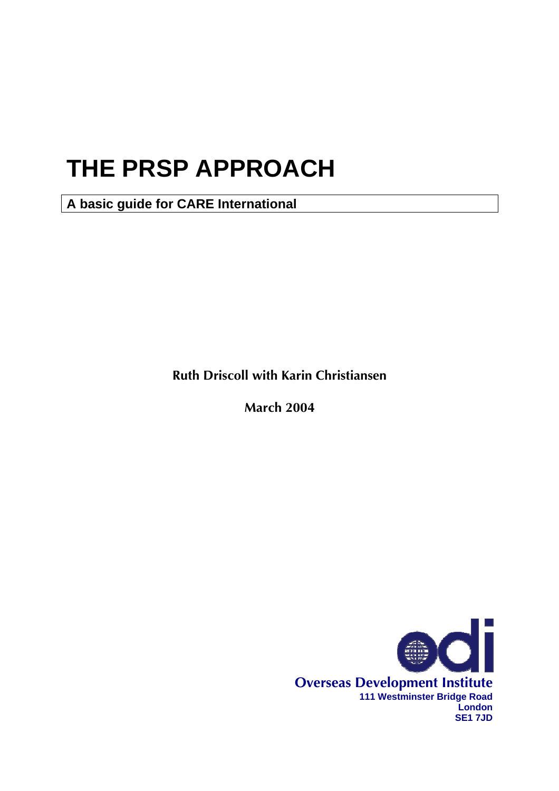# **THE PRSP APPROACH**

**A basic guide for CARE International** 

**Ruth Driscoll with Karin Christiansen** 

**March 2004** 

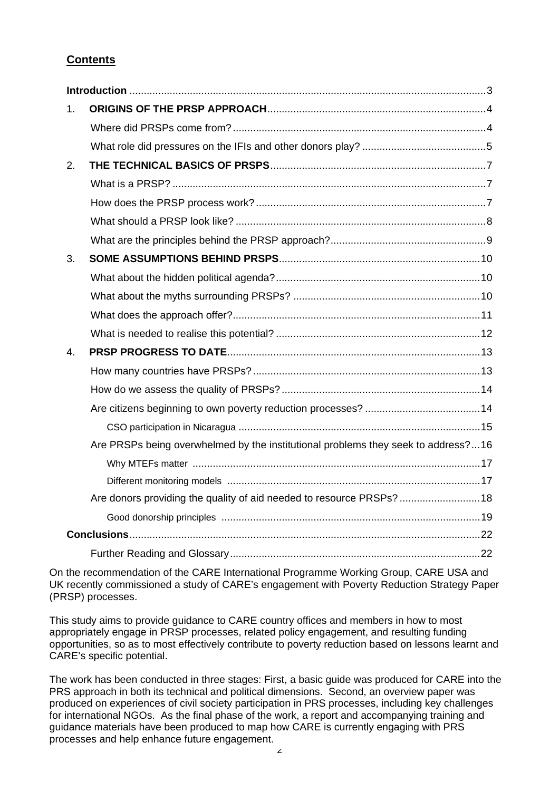# **Contents**

| 1. |                                                                                   |  |  |
|----|-----------------------------------------------------------------------------------|--|--|
|    |                                                                                   |  |  |
|    |                                                                                   |  |  |
| 2. |                                                                                   |  |  |
|    |                                                                                   |  |  |
|    |                                                                                   |  |  |
|    |                                                                                   |  |  |
|    |                                                                                   |  |  |
| 3. |                                                                                   |  |  |
|    |                                                                                   |  |  |
|    |                                                                                   |  |  |
|    |                                                                                   |  |  |
|    |                                                                                   |  |  |
| 4. |                                                                                   |  |  |
|    |                                                                                   |  |  |
|    |                                                                                   |  |  |
|    |                                                                                   |  |  |
|    |                                                                                   |  |  |
|    | Are PRSPs being overwhelmed by the institutional problems they seek to address?16 |  |  |
|    |                                                                                   |  |  |
|    |                                                                                   |  |  |
|    | Are donors providing the quality of aid needed to resource PRSPs?  18             |  |  |
|    |                                                                                   |  |  |
|    |                                                                                   |  |  |
|    |                                                                                   |  |  |

On the recommendation of the CARE International Programme Working Group, CARE USA and UK recently commissioned a study of CARE's engagement with Poverty Reduction Strategy Paper (PRSP) processes.

This study aims to provide guidance to CARE country offices and members in how to most appropriately engage in PRSP processes, related policy engagement, and resulting funding opportunities, so as to most effectively contribute to poverty reduction based on lessons learnt and CARE's specific potential.

The work has been conducted in three stages: First, a basic guide was produced for CARE into the PRS approach in both its technical and political dimensions. Second, an overview paper was produced on experiences of civil society participation in PRS processes, including key challenges for international NGOs. As the final phase of the work, a report and accompanying training and guidance materials have been produced to map how CARE is currently engaging with PRS processes and help enhance future engagement.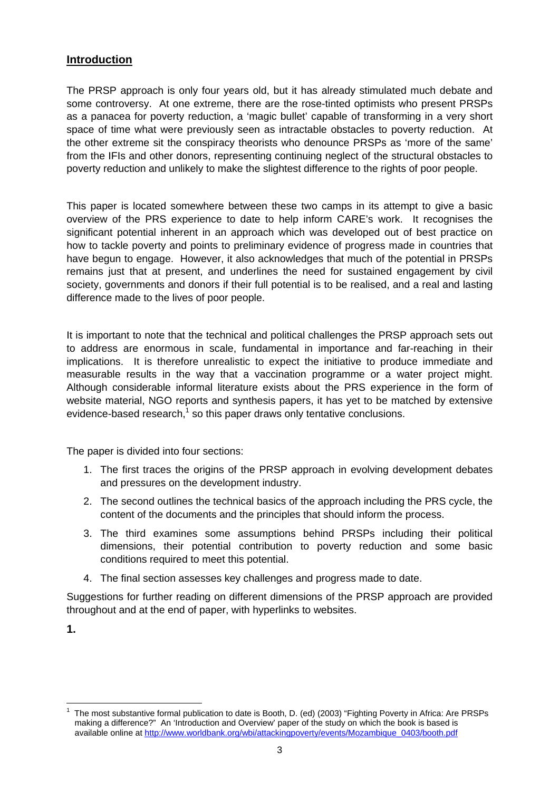# <span id="page-2-0"></span>**Introduction**

The PRSP approach is only four years old, but it has already stimulated much debate and some controversy. At one extreme, there are the rose-tinted optimists who present PRSPs as a panacea for poverty reduction, a 'magic bullet' capable of transforming in a very short space of time what were previously seen as intractable obstacles to poverty reduction. At the other extreme sit the conspiracy theorists who denounce PRSPs as 'more of the same' from the IFIs and other donors, representing continuing neglect of the structural obstacles to poverty reduction and unlikely to make the slightest difference to the rights of poor people.

This paper is located somewhere between these two camps in its attempt to give a basic overview of the PRS experience to date to help inform CARE's work. It recognises the significant potential inherent in an approach which was developed out of best practice on how to tackle poverty and points to preliminary evidence of progress made in countries that have begun to engage. However, it also acknowledges that much of the potential in PRSPs remains just that at present, and underlines the need for sustained engagement by civil society, governments and donors if their full potential is to be realised, and a real and lasting difference made to the lives of poor people.

It is important to note that the technical and political challenges the PRSP approach sets out to address are enormous in scale, fundamental in importance and far-reaching in their implications. It is therefore unrealistic to expect the initiative to produce immediate and measurable results in the way that a vaccination programme or a water project might. Although considerable informal literature exists about the PRS experience in the form of website material, NGO reports and synthesis papers, it has yet to be matched by extensive evidence-basedresearch,<sup>1</sup> so this paper draws only tentative conclusions.

The paper is divided into four sections:

- 1. The first traces the origins of the PRSP approach in evolving development debates and pressures on the development industry.
- 2. The second outlines the technical basics of the approach including the PRS cycle, the content of the documents and the principles that should inform the process.
- 3. The third examines some assumptions behind PRSPs including their political dimensions, their potential contribution to poverty reduction and some basic conditions required to meet this potential.
- 4. The final section assesses key challenges and progress made to date.

Suggestions for further reading on different dimensions of the PRSP approach are provided throughout and at the end of paper, with hyperlinks to websites.

**1.** 

<span id="page-2-1"></span> $\overline{a}$ 1 The most substantive formal publication to date is Booth, D. (ed) (2003) "Fighting Poverty in Africa: Are PRSPs making a difference?" An 'Introduction and Overview' paper of the study on which the book is based is available online at [http://www.worldbank.org/wbi/attackingpoverty/events/Mozambique\\_0403/booth.pdf](http://www.worldbank.org/wbi/attackingpoverty/events/Mozambique_0403/booth.pdf)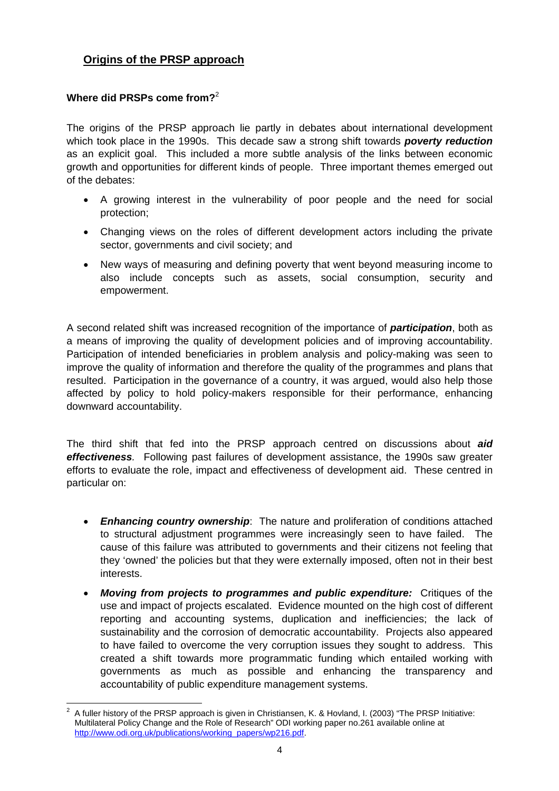# <span id="page-3-0"></span>**Origins of the PRSP approach**

# **Where did PRSPs come from?**[2](#page-3-1)

The origins of the PRSP approach lie partly in debates about international development which took place in the 1990s. This decade saw a strong shift towards *poverty reduction* as an explicit goal. This included a more subtle analysis of the links between economic growth and opportunities for different kinds of people. Three important themes emerged out of the debates:

- A growing interest in the vulnerability of poor people and the need for social protection;
- Changing views on the roles of different development actors including the private sector, governments and civil society; and
- New ways of measuring and defining poverty that went beyond measuring income to also include concepts such as assets, social consumption, security and empowerment.

A second related shift was increased recognition of the importance of *participation*, both as a means of improving the quality of development policies and of improving accountability. Participation of intended beneficiaries in problem analysis and policy-making was seen to improve the quality of information and therefore the quality of the programmes and plans that resulted. Participation in the governance of a country, it was argued, would also help those affected by policy to hold policy-makers responsible for their performance, enhancing downward accountability.

The third shift that fed into the PRSP approach centred on discussions about *aid effectiveness.* Following past failures of development assistance, the 1990s saw greater efforts to evaluate the role, impact and effectiveness of development aid. These centred in particular on:

- *Enhancing country ownership*: The nature and proliferation of conditions attached to structural adjustment programmes were increasingly seen to have failed. The cause of this failure was attributed to governments and their citizens not feeling that they 'owned' the policies but that they were externally imposed, often not in their best interests.
- *Moving from projects to programmes and public expenditure:* Critiques of the use and impact of projects escalated. Evidence mounted on the high cost of different reporting and accounting systems, duplication and inefficiencies; the lack of sustainability and the corrosion of democratic accountability. Projects also appeared to have failed to overcome the very corruption issues they sought to address. This created a shift towards more programmatic funding which entailed working with governments as much as possible and enhancing the transparency and accountability of public expenditure management systems.

<span id="page-3-1"></span> $\frac{1}{2}$  A fuller history of the PRSP approach is given in Christiansen, K. & Hovland, I. (2003) "The PRSP Initiative: Multilateral Policy Change and the Role of Research" ODI working paper no.261 available online at [http://www.odi.org.uk/publications/working\\_papers/wp216.pdf.](http://www.odi.org.uk/publications/working_papers/wp216.pdf)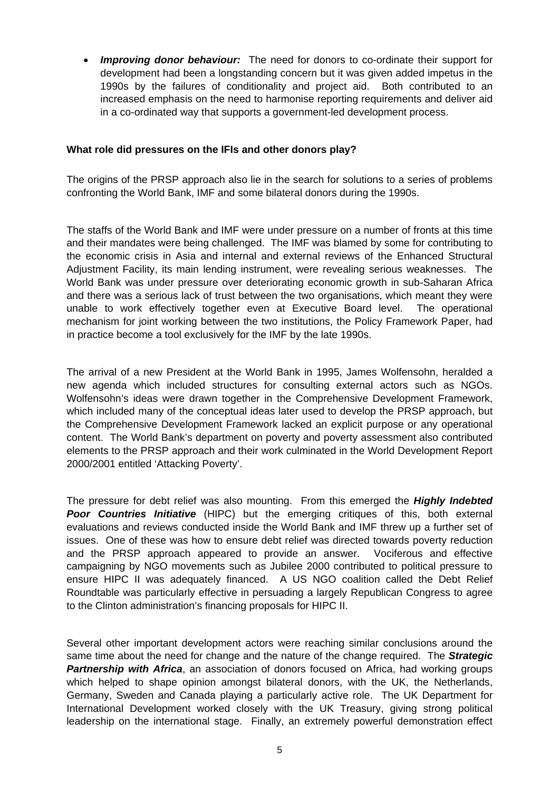<span id="page-4-0"></span>• *Improving donor behaviour:* The need for donors to co-ordinate their support for development had been a longstanding concern but it was given added impetus in the 1990s by the failures of conditionality and project aid. Both contributed to an increased emphasis on the need to harmonise reporting requirements and deliver aid in a co-ordinated way that supports a government-led development process.

### **What role did pressures on the IFIs and other donors play?**

The origins of the PRSP approach also lie in the search for solutions to a series of problems confronting the World Bank, IMF and some bilateral donors during the 1990s.

The staffs of the World Bank and IMF were under pressure on a number of fronts at this time and their mandates were being challenged. The IMF was blamed by some for contributing to the economic crisis in Asia and internal and external reviews of the Enhanced Structural Adjustment Facility, its main lending instrument, were revealing serious weaknesses. The World Bank was under pressure over deteriorating economic growth in sub-Saharan Africa and there was a serious lack of trust between the two organisations, which meant they were unable to work effectively together even at Executive Board level. The operational mechanism for joint working between the two institutions, the Policy Framework Paper, had in practice become a tool exclusively for the IMF by the late 1990s.

The arrival of a new President at the World Bank in 1995, James Wolfensohn, heralded a new agenda which included structures for consulting external actors such as NGOs. Wolfensohn's ideas were drawn together in the Comprehensive Development Framework, which included many of the conceptual ideas later used to develop the PRSP approach, but the Comprehensive Development Framework lacked an explicit purpose or any operational content. The World Bank's department on poverty and poverty assessment also contributed elements to the PRSP approach and their work culminated in the World Development Report 2000/2001 entitled 'Attacking Poverty'.

The pressure for debt relief was also mounting. From this emerged the *Highly Indebted Poor Countries Initiative* (HIPC) but the emerging critiques of this, both external evaluations and reviews conducted inside the World Bank and IMF threw up a further set of issues. One of these was how to ensure debt relief was directed towards poverty reduction and the PRSP approach appeared to provide an answer. Vociferous and effective campaigning by NGO movements such as Jubilee 2000 contributed to political pressure to ensure HIPC II was adequately financed. A US NGO coalition called the Debt Relief Roundtable was particularly effective in persuading a largely Republican Congress to agree to the Clinton administration's financing proposals for HIPC II.

Several other important development actors were reaching similar conclusions around the same time about the need for change and the nature of the change required. The *Strategic Partnership with Africa*, an association of donors focused on Africa, had working groups which helped to shape opinion amongst bilateral donors, with the UK, the Netherlands, Germany, Sweden and Canada playing a particularly active role. The UK Department for International Development worked closely with the UK Treasury, giving strong political leadership on the international stage. Finally, an extremely powerful demonstration effect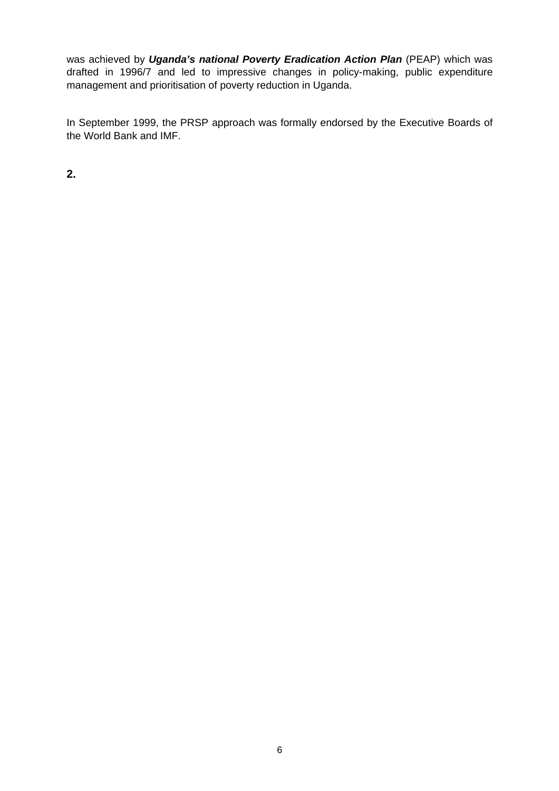was achieved by *Uganda's national Poverty Eradication Action Plan* (PEAP) which was drafted in 1996/7 and led to impressive changes in policy-making, public expenditure management and prioritisation of poverty reduction in Uganda.

In September 1999, the PRSP approach was formally endorsed by the Executive Boards of the World Bank and IMF.

**2.**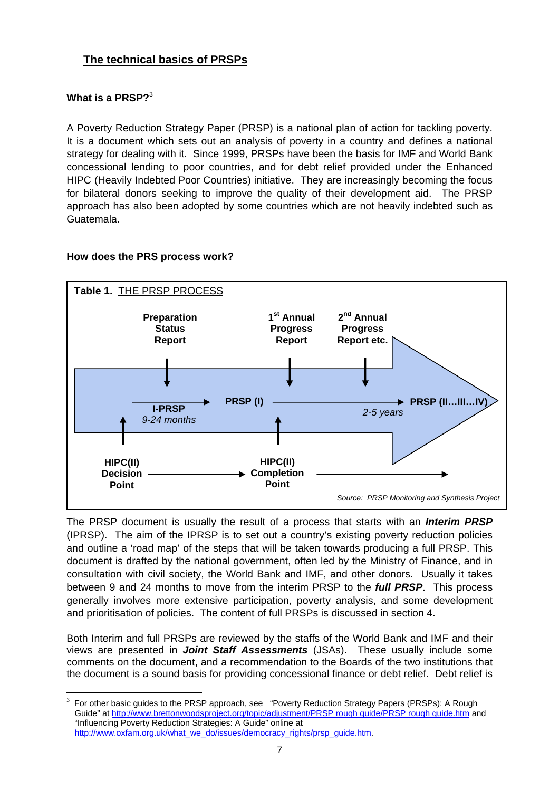# <span id="page-6-0"></span>**The technical basics of PRSPs**

# Whatis a PRSP? $3$

 $\overline{a}$ 

A Poverty Reduction Strategy Paper (PRSP) is a national plan of action for tackling poverty. It is a document which sets out an analysis of poverty in a country and defines a national strategy for dealing with it. Since 1999, PRSPs have been the basis for IMF and World Bank concessional lending to poor countries, and for debt relief provided under the Enhanced HIPC (Heavily Indebted Poor Countries) initiative. They are increasingly becoming the focus for bilateral donors seeking to improve the quality of their development aid. The PRSP approach has also been adopted by some countries which are not heavily indebted such as Guatemala.

### **How does the PRS process work?**



The PRSP document is usually the result of a process that starts with an *Interim PRSP* (IPRSP). The aim of the IPRSP is to set out a country's existing poverty reduction policies and outline a 'road map' of the steps that will be taken towards producing a full PRSP. This document is drafted by the national government, often led by the Ministry of Finance, and in consultation with civil society, the World Bank and IMF, and other donors. Usually it takes between 9 and 24 months to move from the interim PRSP to the *full PRSP*. This process generally involves more extensive participation, poverty analysis, and some development and prioritisation of policies. The content of full PRSPs is discussed in section 4.

Both Interim and full PRSPs are reviewed by the staffs of the World Bank and IMF and their views are presented in *Joint Staff Assessments* (JSAs). These usually include some comments on the document, and a recommendation to the Boards of the two institutions that the document is a sound basis for providing concessional finance or debt relief. Debt relief is

<span id="page-6-1"></span><sup>3</sup> For other basic guides to the PRSP approach, see "Poverty Reduction Strategy Papers (PRSPs): A Rough Guide" at <http://www.brettonwoodsproject.org/topic/adjustment/PRSP rough guide/PRSP rough guide.htm>and "Influencing Poverty Reduction Strategies: A Guide" online at [http://www.oxfam.org.uk/what\\_we\\_do/issues/democracy\\_rights/prsp\\_guide.htm](http://www.oxfam.org.uk/what_we_do/issues/democracy_rights/prsp_guide.htm).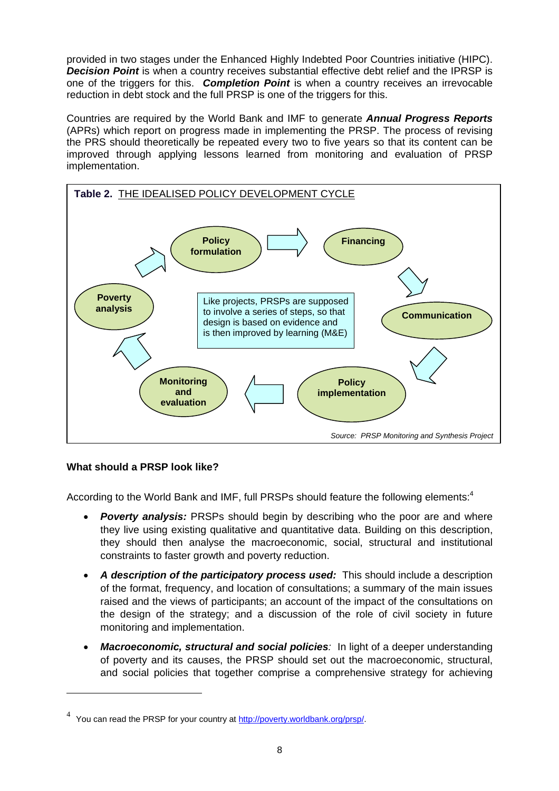<span id="page-7-0"></span>provided in two stages under the Enhanced Highly Indebted Poor Countries initiative (HIPC). **Decision Point** is when a country receives substantial effective debt relief and the IPRSP is one of the triggers for this. *Completion Point* is when a country receives an irrevocable reduction in debt stock and the full PRSP is one of the triggers for this.

Countries are required by the World Bank and IMF to generate *Annual Progress Reports* (APRs) which report on progress made in implementing the PRSP. The process of revising the PRS should theoretically be repeated every two to five years so that its content can be improved through applying lessons learned from monitoring and evaluation of PRSP implementation.



# **What should a PRSP look like?**

 $\overline{a}$ 

According to the World Bank and IMF, full PRSPs should feature the following elements:<sup>4</sup>

- *Poverty analysis:* PRSPs should begin by describing who the poor are and [wh](#page-7-1)ere they live using existing qualitative and quantitative data. Building on this description, they should then analyse the macroeconomic, social, structural and institutional constraints to faster growth and poverty reduction.
- A description of the participatory process used: This should include a description of the format, frequency, and location of consultations; a summary of the main issues raised and the views of participants; an account of the impact of the consultations on the design of the strategy; and a discussion of the role of civil society in future monitoring and implementation.
- *Macroeconomic, structural and social policies:* In light of a deeper understanding of poverty and its causes, the PRSP should set out the macroeconomic, structural, and social policies that together comprise a comprehensive strategy for achieving

<span id="page-7-1"></span><sup>&</sup>lt;sup>4</sup> You can read the PRSP for your country at <http://poverty.worldbank.org/prsp/>.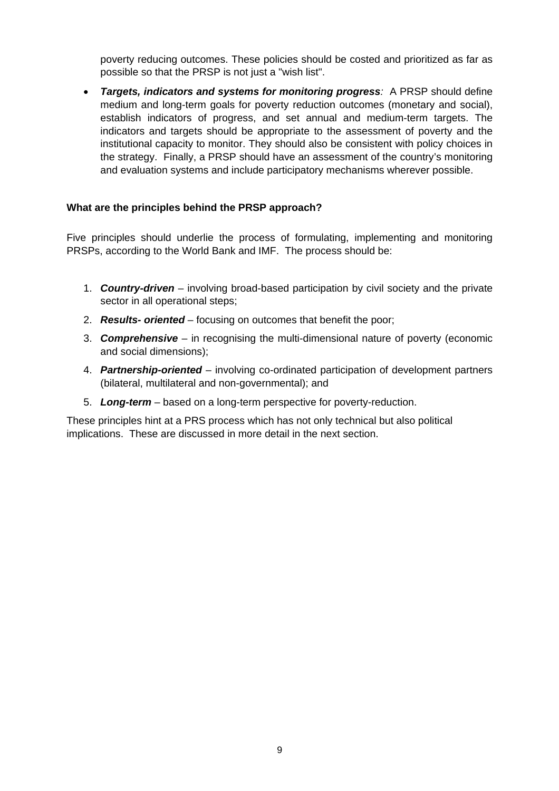<span id="page-8-0"></span>poverty reducing outcomes. These policies should be costed and prioritized as far as possible so that the PRSP is not just a "wish list".

• *Targets, indicators and systems for monitoring progress:* A PRSP should define medium and long-term goals for poverty reduction outcomes (monetary and social), establish indicators of progress, and set annual and medium-term targets. The indicators and targets should be appropriate to the assessment of poverty and the institutional capacity to monitor. They should also be consistent with policy choices in the strategy. Finally, a PRSP should have an assessment of the country's monitoring and evaluation systems and include participatory mechanisms wherever possible.

### **What are the principles behind the PRSP approach?**

Five principles should underlie the process of formulating, implementing and monitoring PRSPs, according to the World Bank and IMF. The process should be:

- 1. *Country-driven* involving broad-based participation by civil society and the private sector in all operational steps;
- 2. *Results- oriented* focusing on outcomes that benefit the poor;
- 3. *Comprehensive* in recognising the multi-dimensional nature of poverty (economic and social dimensions);
- 4. *Partnership-oriented* involving co-ordinated participation of development partners (bilateral, multilateral and non-governmental); and
- 5. *Long-term* based on a long-term perspective for poverty-reduction.

These principles hint at a PRS process which has not only technical but also political implications. These are discussed in more detail in the next section.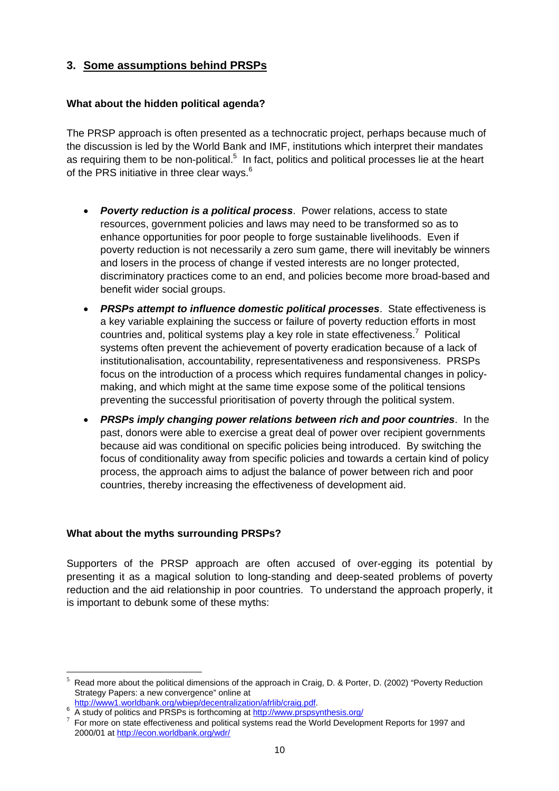# <span id="page-9-0"></span>**3. Some assumptions behind PRSPs**

# **What about the hidden political agenda?**

The PRSP approach is often presented as a technocratic project, perhaps because much of the discussion is led by the World Bank and IMF, institutions which interpret their mandates asrequiring them to be non-political.<sup>5</sup> In fact, politics and political processes lie at the heart of the PRS initiative in three clear ways.<sup>6</sup>

- *Poverty reduction is a political process*. Power relations, access to state resources, government policies and laws may need to be transformed so as to enhance opportunities for poor people to forge sustainable livelihoods. Even if poverty reduction is not necessarily a zero sum game, there will inevitably be winners and losers in the process of change if vested interests are no longer protected, discriminatory practices come to an end, and policies become more broad-based and benefit wider social groups.
- *PRSPs attempt to influence domestic political processes*. State effectiveness is a key variable explaining the success or failure of poverty reduction efforts in most countriesand, political systems play a key role in state effectiveness.<sup>7</sup> Political systems often prevent the achievement of poverty eradication because of a lack of institutionalisation, accountability, representativeness and responsiveness. PRSPs focus on the introduction of a process which requires fundamental changes in policymaking, and which might at the same time expose some of the political tensions preventing the successful prioritisation of poverty through the political system.
- *PRSPs imply changing power relations between rich and poor countries*. In the past, donors were able to exercise a great deal of power over recipient governments because aid was conditional on specific policies being introduced. By switching the focus of conditionality away from specific policies and towards a certain kind of policy process, the approach aims to adjust the balance of power between rich and poor countries, thereby increasing the effectiveness of development aid.

# **What about the myths surrounding PRSPs?**

Supporters of the PRSP approach are often accused of over-egging its potential by presenting it as a magical solution to long-standing and deep-seated problems of poverty reduction and the aid relationship in poor countries. To understand the approach properly, it is important to debunk some of these myths:

 $\overline{a}$ 

<span id="page-9-1"></span><sup>5</sup> Read more about the political dimensions of the approach in Craig, D. & Porter, D. (2002) "Poverty Reduction Strategy Papers: a new convergence" online at

<http://www1.worldbank.org/wbiep/decentralization/afrlib/craig.pdf>.

<sup>6</sup> A study of politics and PRSPs is forthcoming at http://www.prspsynthesis.org/

<span id="page-9-2"></span>For more on state effectiveness and political systems read the World Development Reports for 1997 and 2000/01 at<http://econ.worldbank.org/wdr/>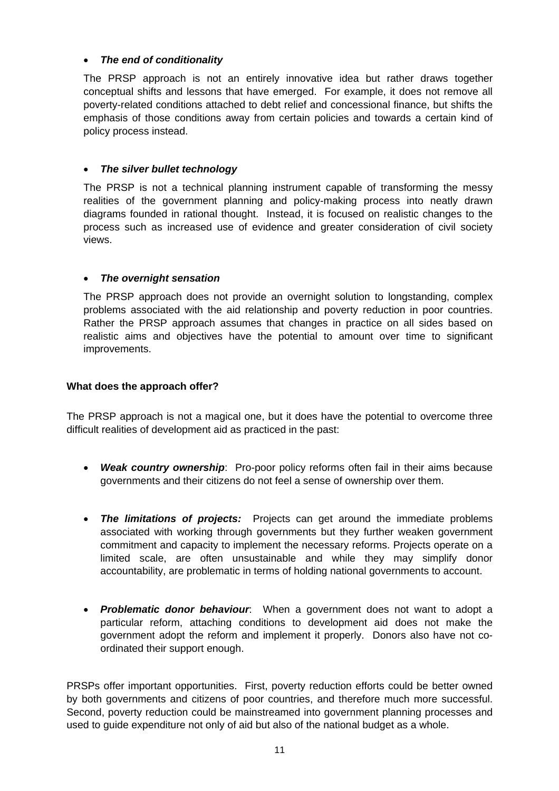# <span id="page-10-0"></span>• *The end of conditionality*

The PRSP approach is not an entirely innovative idea but rather draws together conceptual shifts and lessons that have emerged. For example, it does not remove all poverty-related conditions attached to debt relief and concessional finance, but shifts the emphasis of those conditions away from certain policies and towards a certain kind of policy process instead.

### • *The silver bullet technology*

The PRSP is not a technical planning instrument capable of transforming the messy realities of the government planning and policy-making process into neatly drawn diagrams founded in rational thought. Instead, it is focused on realistic changes to the process such as increased use of evidence and greater consideration of civil society views.

### • *The overnight sensation*

The PRSP approach does not provide an overnight solution to longstanding, complex problems associated with the aid relationship and poverty reduction in poor countries. Rather the PRSP approach assumes that changes in practice on all sides based on realistic aims and objectives have the potential to amount over time to significant improvements.

### **What does the approach offer?**

The PRSP approach is not a magical one, but it does have the potential to overcome three difficult realities of development aid as practiced in the past:

- *Weak country ownership*: Pro-poor policy reforms often fail in their aims because governments and their citizens do not feel a sense of ownership over them.
- *The limitations of projects:* Projects can get around the immediate problems associated with working through governments but they further weaken government commitment and capacity to implement the necessary reforms. Projects operate on a limited scale, are often unsustainable and while they may simplify donor accountability, are problematic in terms of holding national governments to account.
- *Problematic donor behaviour*: When a government does not want to adopt a particular reform, attaching conditions to development aid does not make the government adopt the reform and implement it properly. Donors also have not coordinated their support enough.

PRSPs offer important opportunities. First, poverty reduction efforts could be better owned by both governments and citizens of poor countries, and therefore much more successful. Second, poverty reduction could be mainstreamed into government planning processes and used to guide expenditure not only of aid but also of the national budget as a whole.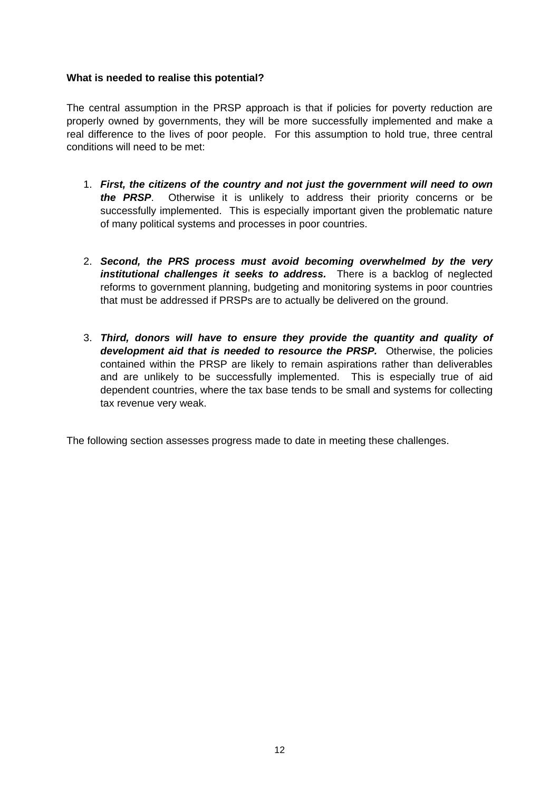### <span id="page-11-0"></span>**What is needed to realise this potential?**

The central assumption in the PRSP approach is that if policies for poverty reduction are properly owned by governments, they will be more successfully implemented and make a real difference to the lives of poor people. For this assumption to hold true, three central conditions will need to be met:

- 1. *First, the citizens of the country and not just the government will need to own the PRSP*. Otherwise it is unlikely to address their priority concerns or be successfully implemented. This is especially important given the problematic nature of many political systems and processes in poor countries.
- 2. *Second, the PRS process must avoid becoming overwhelmed by the very institutional challenges it seeks to address.* There is a backlog of neglected reforms to government planning, budgeting and monitoring systems in poor countries that must be addressed if PRSPs are to actually be delivered on the ground.
- 3. *Third, donors will have to ensure they provide the quantity and quality of development aid that is needed to resource the PRSP.* Otherwise, the policies contained within the PRSP are likely to remain aspirations rather than deliverables and are unlikely to be successfully implemented. This is especially true of aid dependent countries, where the tax base tends to be small and systems for collecting tax revenue very weak.

The following section assesses progress made to date in meeting these challenges.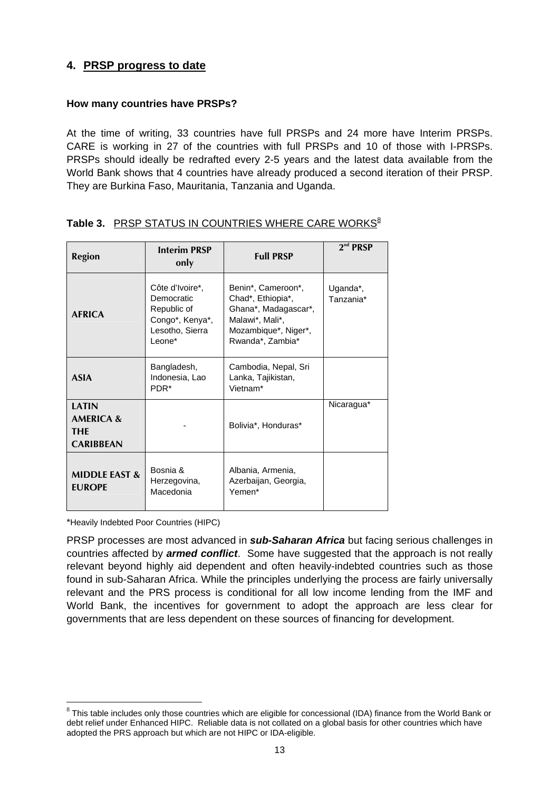# <span id="page-12-0"></span>**4. PRSP progress to date**

### **How many countries have PRSPs?**

At the time of writing, 33 countries have full PRSPs and 24 more have Interim PRSPs. CARE is working in 27 of the countries with full PRSPs and 10 of those with I-PRSPs. PRSPs should ideally be redrafted every 2-5 years and the latest data available from the World Bank shows that 4 countries have already produced a second iteration of their PRSP. They are Burkina Faso, Mauritania, Tanzania and Uganda.

| <b>Region</b>                                                   | <b>Interim PRSP</b><br>only                                                                  | <b>Full PRSP</b>                                                                                                               | 2 <sup>nd</sup> PRSP  |
|-----------------------------------------------------------------|----------------------------------------------------------------------------------------------|--------------------------------------------------------------------------------------------------------------------------------|-----------------------|
| <b>AFRICA</b>                                                   | Côte d'Ivoire*,<br>Democratic<br>Republic of<br>Congo*, Kenya*,<br>Lesotho, Sierra<br>Leone* | Benin*, Cameroon*,<br>Chad*, Ethiopia*,<br>Ghana*, Madagascar*,<br>Malawi*, Mali*,<br>Mozambique*, Niger*,<br>Rwanda*, Zambia* | Uganda*,<br>Tanzania* |
| <b>ASIA</b>                                                     | Bangladesh,<br>Indonesia, Lao<br>PDR <sup>*</sup>                                            | Cambodia, Nepal, Sri<br>Lanka, Tajikistan,<br>Vietnam*                                                                         |                       |
| <b>LATIN</b><br><b>AMERICA &amp;</b><br>THE<br><b>CARIBBEAN</b> |                                                                                              | Bolivia*, Honduras*                                                                                                            | Nicaragua*            |
| <b>MIDDLE EAST &amp;</b><br><b>FUROPE</b>                       | Bosnia &<br>Herzegovina,<br>Macedonia                                                        | Albania, Armenia,<br>Azerbaijan, Georgia,<br>Yemen*                                                                            |                       |

# Table 3. **PRSP STATUS IN COUNTRIES WHERE CARE WORKS**<sup>[8](#page-12-1)</sup>

\*Heavily Indebted Poor Countries (HIPC)

 $\overline{a}$ 

PRSP processes are most advanced in *sub-Saharan Africa* but facing serious challenges in countries affected by *armed conflict*. Some have suggested that the approach is not really relevant beyond highly aid dependent and often heavily-indebted countries such as those found in sub-Saharan Africa. While the principles underlying the process are fairly universally relevant and the PRS process is conditional for all low income lending from the IMF and World Bank, the incentives for government to adopt the approach are less clear for governments that are less dependent on these sources of financing for development.

<span id="page-12-1"></span> $8$  This table includes only those countries which are eligible for concessional (IDA) finance from the World Bank or debt relief under Enhanced HIPC. Reliable data is not collated on a global basis for other countries which have adopted the PRS approach but which are not HIPC or IDA-eligible.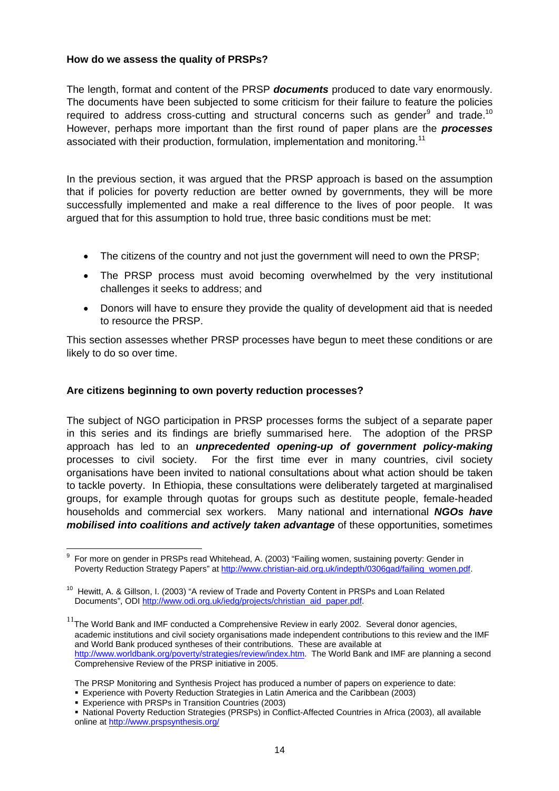### <span id="page-13-0"></span>**How do we assess the quality of PRSPs?**

The length, format and content of the PRSP *documents* produced to date vary enormously. The documents have been subjected to some criticism for their failure to feature the policies requiredto address cross-cutting and structural concerns such as gender $9$  and trade.<sup>10</sup> However, perhaps more important than the first round of paper plans are the *processes*  associated with their production, formulation, implementation and monitoring.<sup>[11](#page-13-3)</sup>

In the previous section, it was argued that the PRSP approach is based on the assumption that if policies for poverty reduction are better owned by governments, they will be more successfully implemented and make a real difference to the lives of poor people. It was argued that for this assumption to hold true, three basic conditions must be met:

- The citizens of the country and not just the government will need to own the PRSP;
- The PRSP process must avoid becoming overwhelmed by the very institutional challenges it seeks to address; and
- Donors will have to ensure they provide the quality of development aid that is needed to resource the PRSP.

This section assesses whether PRSP processes have begun to meet these conditions or are likely to do so over time.

### **Are citizens beginning to own poverty reduction processes?**

The subject of NGO participation in PRSP processes forms the subject of a separate paper in this series and its findings are briefly summarised here. The adoption of the PRSP approach has led to an *unprecedented opening-up of government policy-making* processes to civil society. For the first time ever in many countries, civil society organisations have been invited to national consultations about what action should be taken to tackle poverty. In Ethiopia, these consultations were deliberately targeted at marginalised groups, for example through quotas for groups such as destitute people, female-headed households and commercial sex workers. Many national and international *NGOs have mobilised into coalitions and actively taken advantage* of these opportunities, sometimes

<span id="page-13-1"></span> 9 For more on gender in PRSPs read Whitehead, A. (2003) "Failing women, sustaining poverty: Gender in Poverty Reduction Strategy Papers" at [http://www.christian-aid.org.uk/indepth/0306gad/failing\\_women.pdf.](http://www.christian-aid.org.uk/indepth/0306gad/failing_women.pdf)

<span id="page-13-2"></span> $10$  Hewitt, A. & Gillson, I. (2003) "A review of Trade and Poverty Content in PRSPs and Loan Related Documents", ODI [http://www.odi.org.uk/iedg/projects/christian\\_aid\\_paper.pdf](http://www.odi.org.uk/iedg/projects/christian_aid_paper.pdf).

<span id="page-13-3"></span> $11$ The World Bank and IMF conducted a Comprehensive Review in early 2002. Several donor agencies, academic institutions and civil society organisations made independent contributions to this review and the IMF and World Bank produced syntheses of their contributions. These are available at <http://www.worldbank.org/poverty/strategies/review/index.htm>. The World Bank and IMF are planning a second Comprehensive Review of the PRSP initiative in 2005.

The PRSP Monitoring and Synthesis Project has produced a number of papers on experience to date:

Experience with Poverty Reduction Strategies in Latin America and the Caribbean (2003)

Experience with PRSPs in Transition Countries (2003)

National Poverty Reduction Strategies (PRSPs) in Conflict-Affected Countries in Africa (2003), all available online at <http://www.prspsynthesis.org/>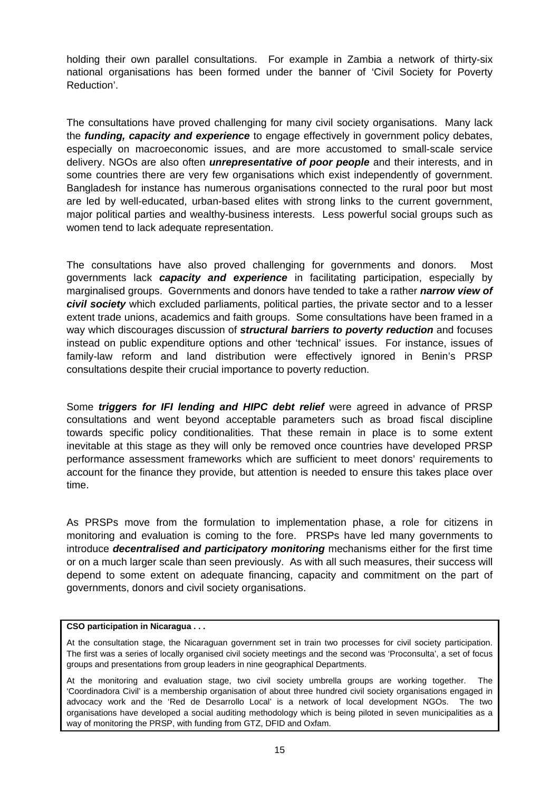<span id="page-14-0"></span>holding their own parallel consultations. For example in Zambia a network of thirty-six national organisations has been formed under the banner of 'Civil Society for Poverty Reduction'.

The consultations have proved challenging for many civil society organisations. Many lack the *funding, capacity and experience* to engage effectively in government policy debates, especially on macroeconomic issues, and are more accustomed to small-scale service delivery. NGOs are also often *unrepresentative of poor people* and their interests, and in some countries there are very few organisations which exist independently of government. Bangladesh for instance has numerous organisations connected to the rural poor but most are led by well-educated, urban-based elites with strong links to the current government, major political parties and wealthy-business interests. Less powerful social groups such as women tend to lack adequate representation.

The consultations have also proved challenging for governments and donors. Most governments lack *capacity and experience* in facilitating participation, especially by marginalised groups. Governments and donors have tended to take a rather *narrow view of civil society* which excluded parliaments, political parties, the private sector and to a lesser extent trade unions, academics and faith groups. Some consultations have been framed in a way which discourages discussion of *structural barriers to poverty reduction* and focuses instead on public expenditure options and other 'technical' issues. For instance, issues of family-law reform and land distribution were effectively ignored in Benin's PRSP consultations despite their crucial importance to poverty reduction.

Some *triggers for IFI lending and HIPC debt relief* were agreed in advance of PRSP consultations and went beyond acceptable parameters such as broad fiscal discipline towards specific policy conditionalities. That these remain in place is to some extent inevitable at this stage as they will only be removed once countries have developed PRSP performance assessment frameworks which are sufficient to meet donors' requirements to account for the finance they provide, but attention is needed to ensure this takes place over time.

As PRSPs move from the formulation to implementation phase, a role for citizens in monitoring and evaluation is coming to the fore. PRSPs have led many governments to introduce *decentralised and participatory monitoring* mechanisms either for the first time or on a much larger scale than seen previously. As with all such measures, their success will depend to some extent on adequate financing, capacity and commitment on the part of governments, donors and civil society organisations.

#### **CSO participation in Nicaragua . . .**

At the consultation stage, the Nicaraguan government set in train two processes for civil society participation. The first was a series of locally organised civil society meetings and the second was 'Proconsulta', a set of focus groups and presentations from group leaders in nine geographical Departments.

At the monitoring and evaluation stage, two civil society umbrella groups are working together. The 'Coordinadora Civil' is a membership organisation of about three hundred civil society organisations engaged in advocacy work and the 'Red de Desarrollo Local' is a network of local development NGOs. The two organisations have developed a social auditing methodology which is being piloted in seven municipalities as a way of monitoring the PRSP, with funding from GTZ, DFID and Oxfam.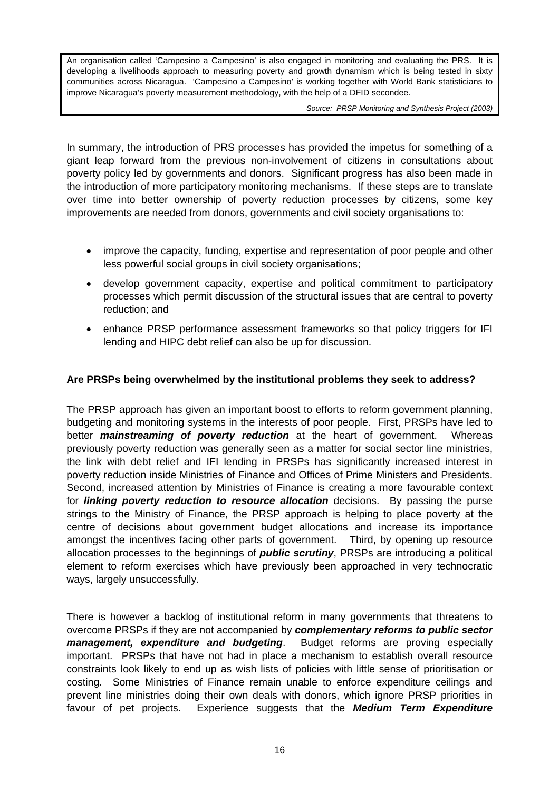<span id="page-15-0"></span>An organisation called 'Campesino a Campesino' is also engaged in monitoring and evaluating the PRS. It is developing a livelihoods approach to measuring poverty and growth dynamism which is being tested in sixty communities across Nicaragua. 'Campesino a Campesino' is working together with World Bank statisticians to improve Nicaragua's poverty measurement methodology, with the help of a DFID secondee.

*Source: PRSP Monitoring and Synthesis Project (2003)* 

In summary, the introduction of PRS processes has provided the impetus for something of a giant leap forward from the previous non-involvement of citizens in consultations about poverty policy led by governments and donors. Significant progress has also been made in the introduction of more participatory monitoring mechanisms. If these steps are to translate over time into better ownership of poverty reduction processes by citizens, some key improvements are needed from donors, governments and civil society organisations to:

- improve the capacity, funding, expertise and representation of poor people and other less powerful social groups in civil society organisations;
- develop government capacity, expertise and political commitment to participatory processes which permit discussion of the structural issues that are central to poverty reduction; and
- enhance PRSP performance assessment frameworks so that policy triggers for IFI lending and HIPC debt relief can also be up for discussion.

### **Are PRSPs being overwhelmed by the institutional problems they seek to address?**

The PRSP approach has given an important boost to efforts to reform government planning, budgeting and monitoring systems in the interests of poor people. First, PRSPs have led to better *mainstreaming of poverty reduction* at the heart of government. Whereas previously poverty reduction was generally seen as a matter for social sector line ministries, the link with debt relief and IFI lending in PRSPs has significantly increased interest in poverty reduction inside Ministries of Finance and Offices of Prime Ministers and Presidents. Second, increased attention by Ministries of Finance is creating a more favourable context for *linking poverty reduction to resource allocation* decisions. By passing the purse strings to the Ministry of Finance, the PRSP approach is helping to place poverty at the centre of decisions about government budget allocations and increase its importance amongst the incentives facing other parts of government. Third, by opening up resource allocation processes to the beginnings of *public scrutiny*, PRSPs are introducing a political element to reform exercises which have previously been approached in very technocratic ways, largely unsuccessfully.

There is however a backlog of institutional reform in many governments that threatens to overcome PRSPs if they are not accompanied by *complementary reforms to public sector management, expenditure and budgeting*. Budget reforms are proving especially important. PRSPs that have not had in place a mechanism to establish overall resource constraints look likely to end up as wish lists of policies with little sense of prioritisation or costing. Some Ministries of Finance remain unable to enforce expenditure ceilings and prevent line ministries doing their own deals with donors, which ignore PRSP priorities in favour of pet projects. Experience suggests that the *Medium Term Expenditure*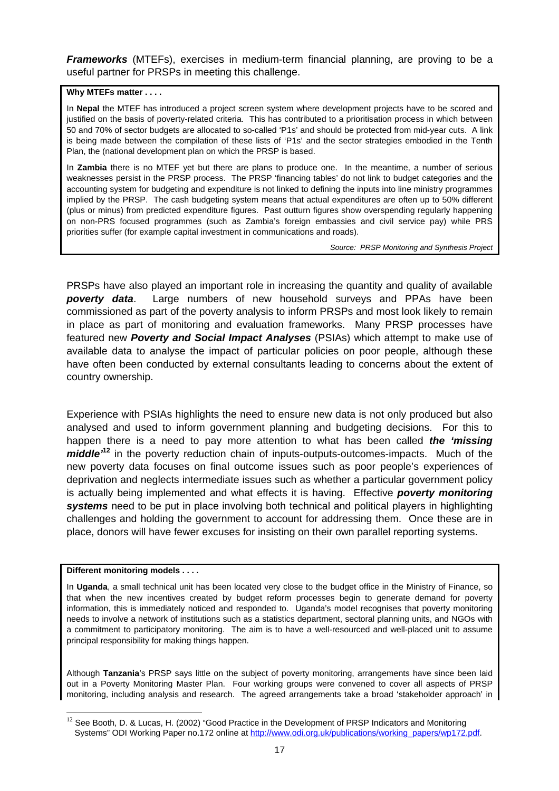<span id="page-16-0"></span>*Frameworks* (MTEFs), exercises in medium-term financial planning, are proving to be a useful partner for PRSPs in meeting this challenge.

#### **Why MTEFs matter . . . .**

In **Nepal** the MTEF has introduced a project screen system where development projects have to be scored and justified on the basis of poverty-related criteria. This has contributed to a prioritisation process in which between 50 and 70% of sector budgets are allocated to so-called 'P1s' and should be protected from mid-year cuts. A link is being made between the compilation of these lists of 'P1s' and the sector strategies embodied in the Tenth Plan, the (national development plan on which the PRSP is based.

In **Zambia** there is no MTEF yet but there are plans to produce one. In the meantime, a number of serious weaknesses persist in the PRSP process. The PRSP 'financing tables' do not link to budget categories and the accounting system for budgeting and expenditure is not linked to defining the inputs into line ministry programmes implied by the PRSP. The cash budgeting system means that actual expenditures are often up to 50% different (plus or minus) from predicted expenditure figures. Past outturn figures show overspending regularly happening on non-PRS focused programmes (such as Zambia's foreign embassies and civil service pay) while PRS priorities suffer (for example capital investment in communications and roads).

*Source: PRSP Monitoring and Synthesis Project* 

PRSPs have also played an important role in increasing the quantity and quality of available *poverty data*. Large numbers of new household surveys and PPAs have been commissioned as part of the poverty analysis to inform PRSPs and most look likely to remain in place as part of monitoring and evaluation frameworks. Many PRSP processes have featured new *Poverty and Social Impact Analyses* (PSIAs) which attempt to make use of available data to analyse the impact of particular policies on poor people, although these have often been conducted by external consultants leading to concerns about the extent of country ownership.

Experience with PSIAs highlights the need to ensure new data is not only produced but also analysed and used to inform government planning and budgeting decisions. For this to happen there is a need to pay more attention to what has been called *the 'missing middle'***<sup>12</sup>**in the poverty reduction chain of inputs-outputs-outcomes-impacts. Much of the new poverty data focuses on final outcome issues such as poor people's experiences of deprivation and neglects intermediate issues such as whether a particular government policy is actually being implemented and what effects it is having. Effective *poverty monitoring systems* need to be put in place involving both technical and political players in highlighting challenges and holding the government to account for addressing them. Once these are in place, donors will have fewer excuses for insisting on their own parallel reporting systems.

#### **Different monitoring models . . . .**

In **Uganda**, a small technical unit has been located very close to the budget office in the Ministry of Finance, so that when the new incentives created by budget reform processes begin to generate demand for poverty information, this is immediately noticed and responded to. Uganda's model recognises that poverty monitoring needs to involve a network of institutions such as a statistics department, sectoral planning units, and NGOs with a commitment to participatory monitoring. The aim is to have a well-resourced and well-placed unit to assume principal responsibility for making things happen.

Although **Tanzania**'s PRSP says little on the subject of poverty monitoring, arrangements have since been laid out in a Poverty Monitoring Master Plan. Four working groups were convened to cover all aspects of PRSP monitoring, including analysis and research. The agreed arrangements take a broad 'stakeholder approach' in

<span id="page-16-1"></span> $\overline{a}$  $12$  See Booth, D. & Lucas, H. (2002) "Good Practice in the Development of PRSP Indicators and Monitoring Systems" ODI Working Paper no.172 online at [http://www.odi.org.uk/publications/working\\_papers/wp172.pdf.](http://www.odi.org.uk/publications/working_papers/wp172.pdf)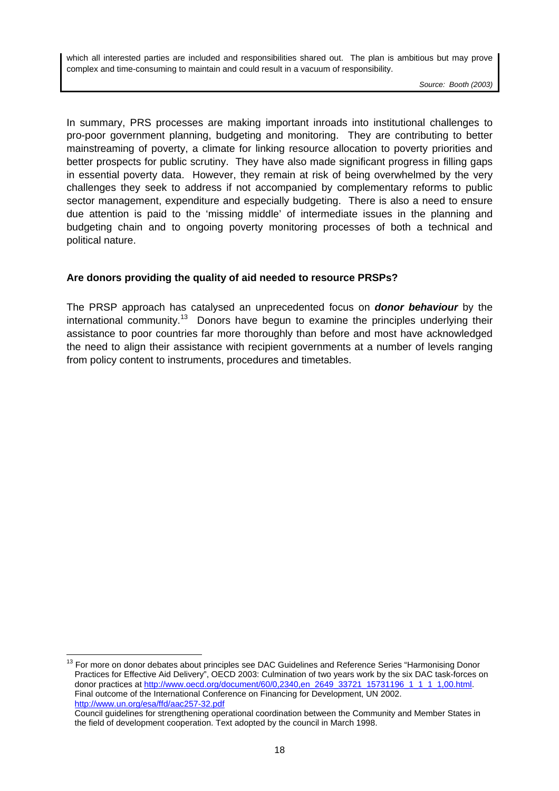<span id="page-17-0"></span>which all interested parties are included and responsibilities shared out. The plan is ambitious but may prove complex and time-consuming to maintain and could result in a vacuum of responsibility.

*Source: Booth (2003)*

In summary, PRS processes are making important inroads into institutional challenges to pro-poor government planning, budgeting and monitoring. They are contributing to better mainstreaming of poverty, a climate for linking resource allocation to poverty priorities and better prospects for public scrutiny. They have also made significant progress in filling gaps in essential poverty data. However, they remain at risk of being overwhelmed by the very challenges they seek to address if not accompanied by complementary reforms to public sector management, expenditure and especially budgeting. There is also a need to ensure due attention is paid to the 'missing middle' of intermediate issues in the planning and budgeting chain and to ongoing poverty monitoring processes of both a technical and political nature.

# **Are donors providing the quality of aid needed to resource PRSPs?**

The PRSP approach has catalysed an unprecedented focus on *donor behaviour* by the international community.<sup>13</sup> Donors have begun to examine the principles underlying their assistance to poor countries far more thoroughly than before and most have acknowledged the need to align their assistance with recipient governments at a number of levels ranging from policy content to instruments, procedures and timetables.

 $\overline{a}$ 

<span id="page-17-1"></span><sup>&</sup>lt;sup>13</sup> For more on donor debates about principles see DAC Guidelines and Reference Series "Harmonising Donor Practices for Effective Aid Delivery", OECD 2003: Culmination of two years work by the six DAC task-forces on donor practices at [http://www.oecd.org/document/60/0,2340,en\\_2649\\_33721\\_15731196\\_1\\_1\\_1\\_1,00.html](http://www.oecd.org/document/60/0,2340,en_2649_33721_15731196_1_1_1_1,00.html). Final outcome of the International Conference on Financing for Development, UN 2002. <http://www.un.org/esa/ffd/aac257-32.pdf>

Council guidelines for strengthening operational coordination between the Community and Member States in the field of development cooperation. Text adopted by the council in March 1998.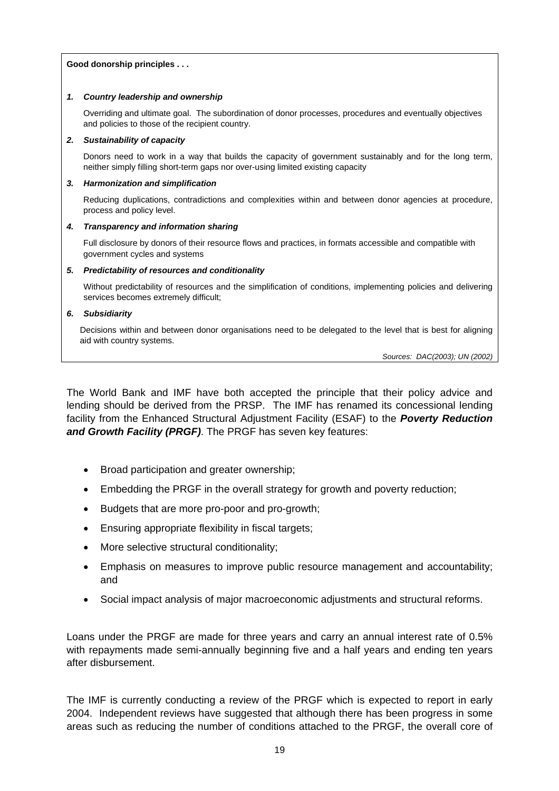#### <span id="page-18-0"></span>**Good donorship principles . . .**

#### *1. Country leadership and ownership*

Overriding and ultimate goal. The subordination of donor processes, procedures and eventually objectives and policies to those of the recipient country.

#### *2. Sustainability of capacity*

Donors need to work in a way that builds the capacity of government sustainably and for the long term, neither simply filling short-term gaps nor over-using limited existing capacity

#### *3. Harmonization and simplification*

Reducing duplications, contradictions and complexities within and between donor agencies at procedure, process and policy level.

#### *4. Transparency and information sharing*

Full disclosure by donors of their resource flows and practices, in formats accessible and compatible with government cycles and systems

#### *5. Predictability of resources and conditionality*

Without predictability of resources and the simplification of conditions, implementing policies and delivering services becomes extremely difficult;

#### *6. Subsidiarity*

Decisions within and between donor organisations need to be delegated to the level that is best for aligning aid with country systems.

*Sources: DAC(2003); UN (2002)*

The World Bank and IMF have both accepted the principle that their policy advice and lending should be derived from the PRSP. The IMF has renamed its concessional lending facility from the Enhanced Structural Adjustment Facility (ESAF) to the *Poverty Reduction and Growth Facility (PRGF)*. The PRGF has seven key features:

- Broad participation and greater ownership;
- Embedding the PRGF in the overall strategy for growth and poverty reduction;
- Budgets that are more pro-poor and pro-growth;
- Ensuring appropriate flexibility in fiscal targets;
- More selective structural conditionality;
- Emphasis on measures to improve public resource management and accountability; and
- Social impact analysis of major macroeconomic adjustments and structural reforms.

Loans under the PRGF are made for three years and carry an annual interest rate of 0.5% with repayments made semi-annually beginning five and a half years and ending ten years after disbursement.

The IMF is currently conducting a review of the PRGF which is expected to report in early 2004. Independent reviews have suggested that although there has been progress in some areas such as reducing the number of conditions attached to the PRGF, the overall core of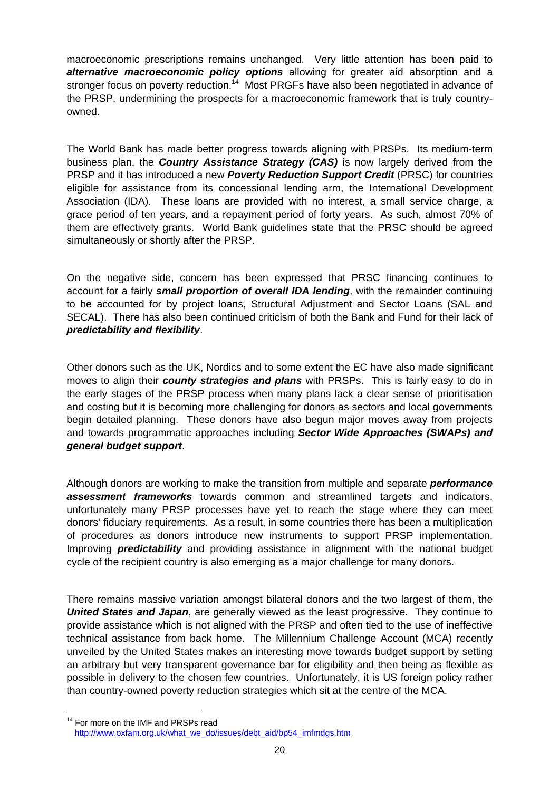macroeconomic prescriptions remains unchanged. Very little attention has been paid to *alternative macroeconomic policy options* allowing for greater aid absorption and a stronger focus on poverty reduction.<sup>14</sup> Most PRGFs have also been negotiated in advance of the PRSP, undermining the prospects for a macroeconomic framework that is truly countryowned.

The World Bank has made better progress towards aligning with PRSPs. Its medium-term business plan, the *Country Assistance Strategy (CAS)* is now largely derived from the PRSP and it has introduced a new *Poverty Reduction Support Credit* (PRSC) for countries eligible for assistance from its concessional lending arm, the International Development Association (IDA). These loans are provided with no interest, a small service charge, a grace period of ten years, and a repayment period of forty years. As such, almost 70% of them are effectively grants. World Bank guidelines state that the PRSC should be agreed simultaneously or shortly after the PRSP.

On the negative side, concern has been expressed that PRSC financing continues to account for a fairly *small proportion of overall IDA lending*, with the remainder continuing to be accounted for by project loans, Structural Adjustment and Sector Loans (SAL and SECAL). There has also been continued criticism of both the Bank and Fund for their lack of *predictability and flexibility*.

Other donors such as the UK, Nordics and to some extent the EC have also made significant moves to align their *county strategies and plans* with PRSPs. This is fairly easy to do in the early stages of the PRSP process when many plans lack a clear sense of prioritisation and costing but it is becoming more challenging for donors as sectors and local governments begin detailed planning. These donors have also begun major moves away from projects and towards programmatic approaches including *Sector Wide Approaches (SWAPs) and general budget support*.

Although donors are working to make the transition from multiple and separate *performance assessment frameworks* towards common and streamlined targets and indicators, unfortunately many PRSP processes have yet to reach the stage where they can meet donors' fiduciary requirements. As a result, in some countries there has been a multiplication of procedures as donors introduce new instruments to support PRSP implementation. Improving *predictability* and providing assistance in alignment with the national budget cycle of the recipient country is also emerging as a major challenge for many donors.

There remains massive variation amongst bilateral donors and the two largest of them, the *United States and Japan*, are generally viewed as the least progressive. They continue to provide assistance which is not aligned with the PRSP and often tied to the use of ineffective technical assistance from back home. The Millennium Challenge Account (MCA) recently unveiled by the United States makes an interesting move towards budget support by setting an arbitrary but very transparent governance bar for eligibility and then being as flexible as possible in delivery to the chosen few countries. Unfortunately, it is US foreign policy rather than country-owned poverty reduction strategies which sit at the centre of the MCA.

 $\overline{a}$ 

<span id="page-19-0"></span> $14$  For more on the IMF and PRSPs read [http://www.oxfam.org.uk/what\\_we\\_do/issues/debt\\_aid/bp54\\_imfmdgs.htm](http://www.oxfam.org.uk/what_we_do/issues/debt_aid/bp54_imfmdgs.htm)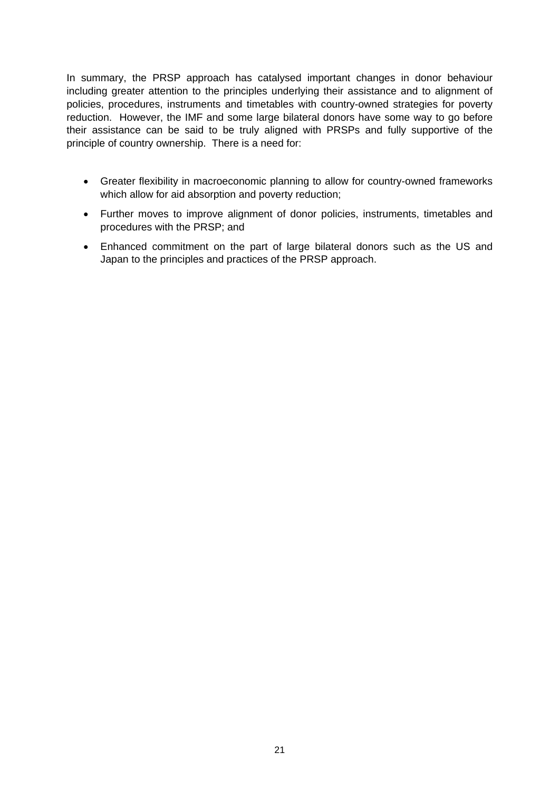In summary, the PRSP approach has catalysed important changes in donor behaviour including greater attention to the principles underlying their assistance and to alignment of policies, procedures, instruments and timetables with country-owned strategies for poverty reduction. However, the IMF and some large bilateral donors have some way to go before their assistance can be said to be truly aligned with PRSPs and fully supportive of the principle of country ownership. There is a need for:

- Greater flexibility in macroeconomic planning to allow for country-owned frameworks which allow for aid absorption and poverty reduction;
- Further moves to improve alignment of donor policies, instruments, timetables and procedures with the PRSP; and
- Enhanced commitment on the part of large bilateral donors such as the US and Japan to the principles and practices of the PRSP approach.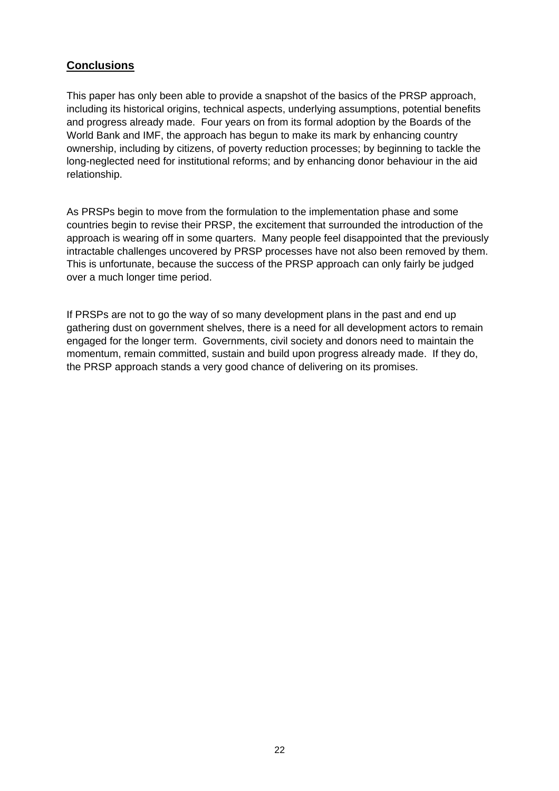# <span id="page-21-0"></span>**Conclusions**

This paper has only been able to provide a snapshot of the basics of the PRSP approach, including its historical origins, technical aspects, underlying assumptions, potential benefits and progress already made. Four years on from its formal adoption by the Boards of the World Bank and IMF, the approach has begun to make its mark by enhancing country ownership, including by citizens, of poverty reduction processes; by beginning to tackle the long-neglected need for institutional reforms; and by enhancing donor behaviour in the aid relationship.

As PRSPs begin to move from the formulation to the implementation phase and some countries begin to revise their PRSP, the excitement that surrounded the introduction of the approach is wearing off in some quarters. Many people feel disappointed that the previously intractable challenges uncovered by PRSP processes have not also been removed by them. This is unfortunate, because the success of the PRSP approach can only fairly be judged over a much longer time period.

If PRSPs are not to go the way of so many development plans in the past and end up gathering dust on government shelves, there is a need for all development actors to remain engaged for the longer term. Governments, civil society and donors need to maintain the momentum, remain committed, sustain and build upon progress already made. If they do, the PRSP approach stands a very good chance of delivering on its promises.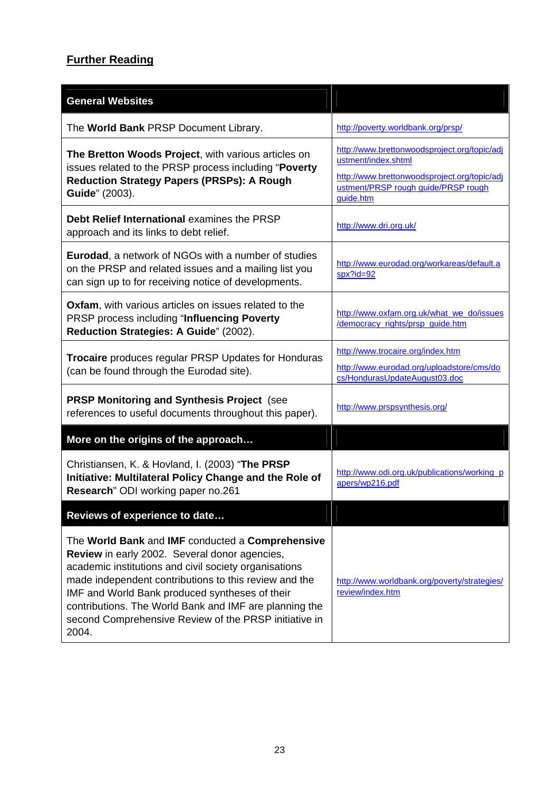# **Further Reading**

| <b>General Websites</b>                                                                                                                                                                                                                                                                                                                                                                                  |                                                                                                                                                                         |  |
|----------------------------------------------------------------------------------------------------------------------------------------------------------------------------------------------------------------------------------------------------------------------------------------------------------------------------------------------------------------------------------------------------------|-------------------------------------------------------------------------------------------------------------------------------------------------------------------------|--|
| The World Bank PRSP Document Library.                                                                                                                                                                                                                                                                                                                                                                    | http://poverty.worldbank.org/prsp/                                                                                                                                      |  |
| The Bretton Woods Project, with various articles on<br>issues related to the PRSP process including "Poverty<br><b>Reduction Strategy Papers (PRSPs): A Rough</b><br>Guide" (2003).                                                                                                                                                                                                                      | http://www.brettonwoodsproject.org/topic/adj<br>ustment/index.shtml<br>http://www.brettonwoodsproject.org/topic/adj<br>ustment/PRSP rough guide/PRSP rough<br>guide.htm |  |
| Debt Relief International examines the PRSP<br>approach and its links to debt relief.                                                                                                                                                                                                                                                                                                                    | http://www.dri.org.uk/                                                                                                                                                  |  |
| <b>Eurodad, a network of NGOs with a number of studies</b><br>on the PRSP and related issues and a mailing list you<br>can sign up to for receiving notice of developments.                                                                                                                                                                                                                              | http://www.eurodad.org/workareas/default.a<br>$spx?id = 92$                                                                                                             |  |
| Oxfam, with various articles on issues related to the<br>PRSP process including "Influencing Poverty<br>Reduction Strategies: A Guide" (2002).                                                                                                                                                                                                                                                           | http://www.oxfam.org.uk/what_we_do/issues<br>/democracy_rights/prsp_guide.htm                                                                                           |  |
| Trocaire produces regular PRSP Updates for Honduras<br>(can be found through the Eurodad site).                                                                                                                                                                                                                                                                                                          | http://www.trocaire.org/index.htm<br>http://www.eurodad.org/uploadstore/cms/do<br>cs/HondurasUpdateAugust03.doc                                                         |  |
| <b>PRSP Monitoring and Synthesis Project (see</b><br>references to useful documents throughout this paper).                                                                                                                                                                                                                                                                                              | http://www.prspsynthesis.org/                                                                                                                                           |  |
| More on the origins of the approach                                                                                                                                                                                                                                                                                                                                                                      |                                                                                                                                                                         |  |
| Christiansen, K. & Hovland, I. (2003) "The PRSP<br>Initiative: Multilateral Policy Change and the Role of<br>Research" ODI working paper no.261                                                                                                                                                                                                                                                          | http://www.odi.org.uk/publications/working_p<br>apers/wp216.pdf                                                                                                         |  |
| Reviews of experience to date                                                                                                                                                                                                                                                                                                                                                                            |                                                                                                                                                                         |  |
| The World Bank and IMF conducted a Comprehensive<br><b>Review</b> in early 2002. Several donor agencies,<br>academic institutions and civil society organisations<br>made independent contributions to this review and the<br>IMF and World Bank produced syntheses of their<br>contributions. The World Bank and IMF are planning the<br>second Comprehensive Review of the PRSP initiative in<br>2004. | http://www.worldbank.org/poverty/strategies/<br>review/index.htm                                                                                                        |  |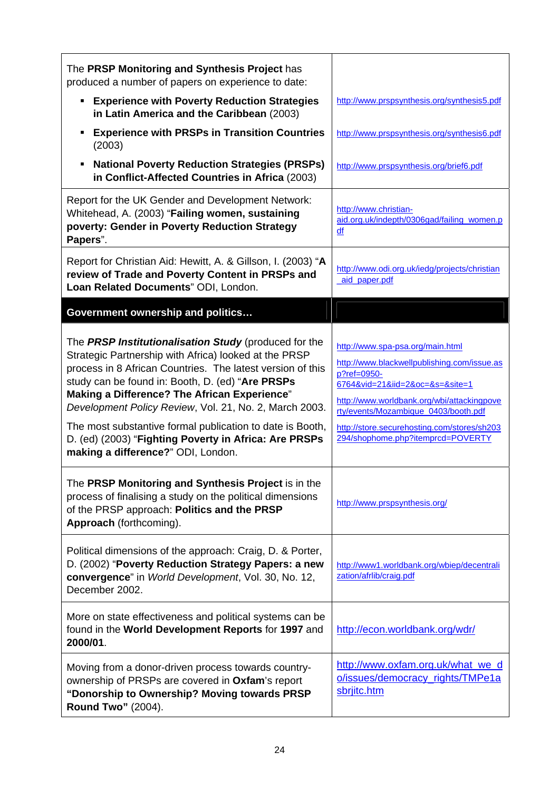| The PRSP Monitoring and Synthesis Project has<br>produced a number of papers on experience to date:                                                                                                                                                                                                                                                                                                                                                                                                           |                                                                                                                                                                                                                                                                                                             |
|---------------------------------------------------------------------------------------------------------------------------------------------------------------------------------------------------------------------------------------------------------------------------------------------------------------------------------------------------------------------------------------------------------------------------------------------------------------------------------------------------------------|-------------------------------------------------------------------------------------------------------------------------------------------------------------------------------------------------------------------------------------------------------------------------------------------------------------|
| <b>Experience with Poverty Reduction Strategies</b><br>in Latin America and the Caribbean (2003)                                                                                                                                                                                                                                                                                                                                                                                                              | http://www.prspsynthesis.org/synthesis5.pdf                                                                                                                                                                                                                                                                 |
| <b>Experience with PRSPs in Transition Countries</b><br>٠<br>(2003)                                                                                                                                                                                                                                                                                                                                                                                                                                           | http://www.prspsynthesis.org/synthesis6.pdf                                                                                                                                                                                                                                                                 |
| <b>National Poverty Reduction Strategies (PRSPs)</b><br>٠<br>in Conflict-Affected Countries in Africa (2003)                                                                                                                                                                                                                                                                                                                                                                                                  | http://www.prspsynthesis.org/brief6.pdf                                                                                                                                                                                                                                                                     |
| Report for the UK Gender and Development Network:<br>Whitehead, A. (2003) "Failing women, sustaining<br>poverty: Gender in Poverty Reduction Strategy<br>Papers".                                                                                                                                                                                                                                                                                                                                             | http://www.christian-<br>aid.org.uk/indepth/0306gad/failing_women.p<br>df                                                                                                                                                                                                                                   |
| Report for Christian Aid: Hewitt, A. & Gillson, I. (2003) "A<br>review of Trade and Poverty Content in PRSPs and<br>Loan Related Documents" ODI, London.                                                                                                                                                                                                                                                                                                                                                      | http://www.odi.org.uk/iedg/projects/christian<br>aid paper.pdf                                                                                                                                                                                                                                              |
| Government ownership and politics                                                                                                                                                                                                                                                                                                                                                                                                                                                                             |                                                                                                                                                                                                                                                                                                             |
| The PRSP Institutionalisation Study (produced for the<br>Strategic Partnership with Africa) looked at the PRSP<br>process in 8 African Countries. The latest version of this<br>study can be found in: Booth, D. (ed) "Are PRSPs<br><b>Making a Difference? The African Experience"</b><br>Development Policy Review, Vol. 21, No. 2, March 2003.<br>The most substantive formal publication to date is Booth,<br>D. (ed) (2003) "Fighting Poverty in Africa: Are PRSPs<br>making a difference?" ODI, London. | http://www.spa-psa.org/main.html<br>http://www.blackwellpublishing.com/issue.as<br>p?ref=0950-<br>6764&vid=21&iid=2&oc=&s=&site=1<br>http://www.worldbank.org/wbi/attackingpove<br>rty/events/Mozambique_0403/booth.pdf<br>http://store.securehosting.com/stores/sh203<br>294/shophome.php?itemprcd=POVERTY |
| The PRSP Monitoring and Synthesis Project is in the<br>process of finalising a study on the political dimensions<br>of the PRSP approach: Politics and the PRSP<br>Approach (forthcoming).                                                                                                                                                                                                                                                                                                                    | http://www.prspsynthesis.org/                                                                                                                                                                                                                                                                               |
| Political dimensions of the approach: Craig, D. & Porter,<br>D. (2002) "Poverty Reduction Strategy Papers: a new<br>convergence" in World Development, Vol. 30, No. 12,<br>December 2002.                                                                                                                                                                                                                                                                                                                     | http://www1.worldbank.org/wbiep/decentrali<br>zation/afrlib/craig.pdf                                                                                                                                                                                                                                       |
| More on state effectiveness and political systems can be<br>found in the World Development Reports for 1997 and<br>2000/01.                                                                                                                                                                                                                                                                                                                                                                                   | http://econ.worldbank.org/wdr/                                                                                                                                                                                                                                                                              |
| Moving from a donor-driven process towards country-<br>ownership of PRSPs are covered in Oxfam's report<br>"Donorship to Ownership? Moving towards PRSP<br><b>Round Two" (2004).</b>                                                                                                                                                                                                                                                                                                                          | http://www.oxfam.org.uk/what we d<br>o/issues/democracy rights/TMPe1a<br>sbrjitc.htm                                                                                                                                                                                                                        |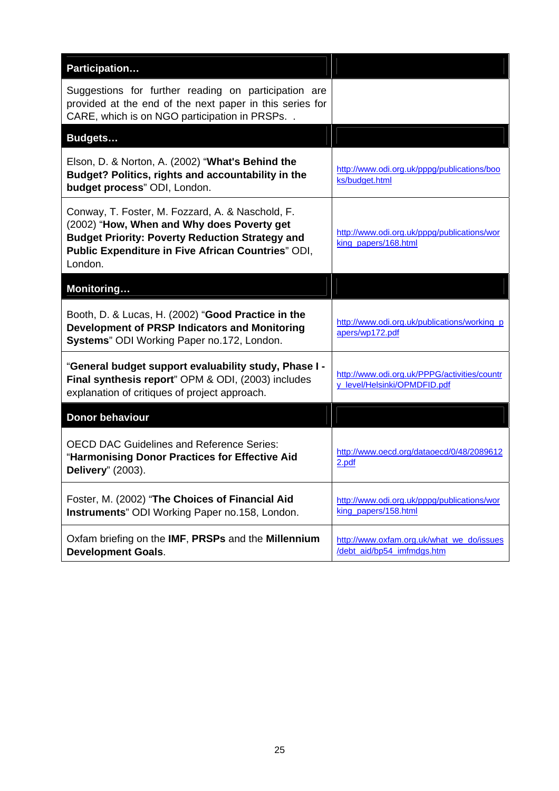| Participation                                                                                                                                                                                                             |                                                                              |
|---------------------------------------------------------------------------------------------------------------------------------------------------------------------------------------------------------------------------|------------------------------------------------------------------------------|
| Suggestions for further reading on participation are<br>provided at the end of the next paper in this series for<br>CARE, which is on NGO participation in PRSPs                                                          |                                                                              |
| Budgets                                                                                                                                                                                                                   |                                                                              |
| Elson, D. & Norton, A. (2002) "What's Behind the<br>Budget? Politics, rights and accountability in the<br>budget process" ODI, London.                                                                                    | http://www.odi.org.uk/pppg/publications/boo<br>ks/budget.html                |
| Conway, T. Foster, M. Fozzard, A. & Naschold, F.<br>(2002) "How, When and Why does Poverty get<br><b>Budget Priority: Poverty Reduction Strategy and</b><br>Public Expenditure in Five African Countries" ODI,<br>London. | http://www.odi.org.uk/pppg/publications/wor<br>king papers/168.html          |
| Monitoring                                                                                                                                                                                                                |                                                                              |
| Booth, D. & Lucas, H. (2002) "Good Practice in the<br><b>Development of PRSP Indicators and Monitoring</b><br>Systems" ODI Working Paper no.172, London.                                                                  | http://www.odi.org.uk/publications/working_p<br>apers/wp172.pdf              |
| "General budget support evaluability study, Phase I -<br>Final synthesis report" OPM & ODI, (2003) includes<br>explanation of critiques of project approach.                                                              | http://www.odi.org.uk/PPPG/activities/countr<br>y_level/Helsinki/OPMDFID.pdf |
| <b>Donor behaviour</b>                                                                                                                                                                                                    |                                                                              |
| <b>OECD DAC Guidelines and Reference Series:</b><br>"Harmonising Donor Practices for Effective Aid<br>Delivery" (2003).                                                                                                   | http://www.oecd.org/dataoecd/0/48/2089612<br>2.pdf                           |
| Foster, M. (2002) "The Choices of Financial Aid<br>Instruments" ODI Working Paper no.158, London.                                                                                                                         | http://www.odi.org.uk/pppg/publications/wor<br>king papers/158.html          |
| Oxfam briefing on the IMF, PRSPs and the Millennium<br><b>Development Goals.</b>                                                                                                                                          | http://www.oxfam.org.uk/what_we_do/issues<br>/debt_aid/bp54_imfmdgs.htm      |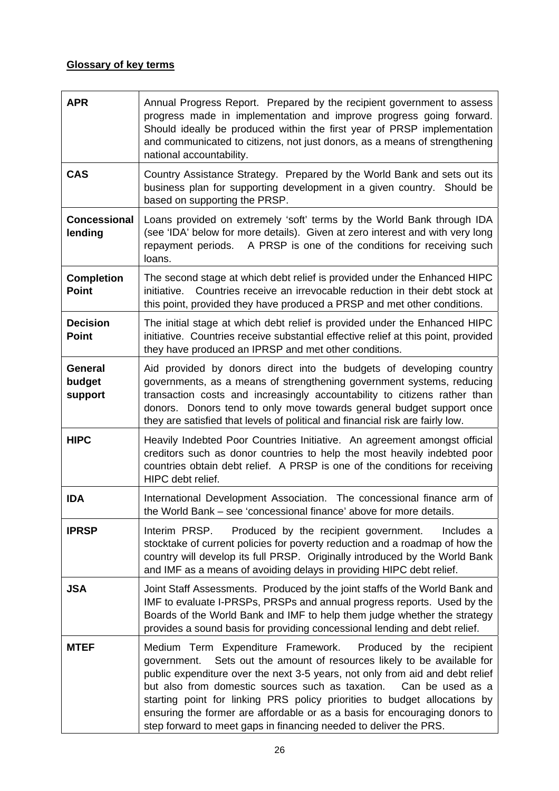# **Glossary of key terms**

| <b>APR</b>                          | Annual Progress Report. Prepared by the recipient government to assess<br>progress made in implementation and improve progress going forward.<br>Should ideally be produced within the first year of PRSP implementation<br>and communicated to citizens, not just donors, as a means of strengthening<br>national accountability.                                                                                                                                                                                                     |
|-------------------------------------|----------------------------------------------------------------------------------------------------------------------------------------------------------------------------------------------------------------------------------------------------------------------------------------------------------------------------------------------------------------------------------------------------------------------------------------------------------------------------------------------------------------------------------------|
| <b>CAS</b>                          | Country Assistance Strategy. Prepared by the World Bank and sets out its<br>business plan for supporting development in a given country. Should be<br>based on supporting the PRSP.                                                                                                                                                                                                                                                                                                                                                    |
| <b>Concessional</b><br>lending      | Loans provided on extremely 'soft' terms by the World Bank through IDA<br>(see 'IDA' below for more details). Given at zero interest and with very long<br>repayment periods. A PRSP is one of the conditions for receiving such<br>loans.                                                                                                                                                                                                                                                                                             |
| <b>Completion</b><br><b>Point</b>   | The second stage at which debt relief is provided under the Enhanced HIPC<br>Countries receive an irrevocable reduction in their debt stock at<br>initiative.<br>this point, provided they have produced a PRSP and met other conditions.                                                                                                                                                                                                                                                                                              |
| <b>Decision</b><br><b>Point</b>     | The initial stage at which debt relief is provided under the Enhanced HIPC<br>initiative. Countries receive substantial effective relief at this point, provided<br>they have produced an IPRSP and met other conditions.                                                                                                                                                                                                                                                                                                              |
| <b>General</b><br>budget<br>support | Aid provided by donors direct into the budgets of developing country<br>governments, as a means of strengthening government systems, reducing<br>transaction costs and increasingly accountability to citizens rather than<br>donors. Donors tend to only move towards general budget support once<br>they are satisfied that levels of political and financial risk are fairly low.                                                                                                                                                   |
| <b>HIPC</b>                         | Heavily Indebted Poor Countries Initiative. An agreement amongst official<br>creditors such as donor countries to help the most heavily indebted poor<br>countries obtain debt relief. A PRSP is one of the conditions for receiving<br>HIPC debt relief.                                                                                                                                                                                                                                                                              |
| <b>IDA</b>                          | International Development Association. The concessional finance arm of<br>the World Bank – see 'concessional finance' above for more details.                                                                                                                                                                                                                                                                                                                                                                                          |
| <b>IPRSP</b>                        | Interim PRSP.<br>Produced by the recipient government.<br>Includes a<br>stocktake of current policies for poverty reduction and a roadmap of how the<br>country will develop its full PRSP. Originally introduced by the World Bank<br>and IMF as a means of avoiding delays in providing HIPC debt relief.                                                                                                                                                                                                                            |
| <b>JSA</b>                          | Joint Staff Assessments. Produced by the joint staffs of the World Bank and<br>IMF to evaluate I-PRSPs, PRSPs and annual progress reports. Used by the<br>Boards of the World Bank and IMF to help them judge whether the strategy<br>provides a sound basis for providing concessional lending and debt relief.                                                                                                                                                                                                                       |
| <b>MTEF</b>                         | Medium Term Expenditure Framework.<br>Produced by the recipient<br>Sets out the amount of resources likely to be available for<br>government.<br>public expenditure over the next 3-5 years, not only from aid and debt relief<br>but also from domestic sources such as taxation.<br>Can be used as a<br>starting point for linking PRS policy priorities to budget allocations by<br>ensuring the former are affordable or as a basis for encouraging donors to<br>step forward to meet gaps in financing needed to deliver the PRS. |